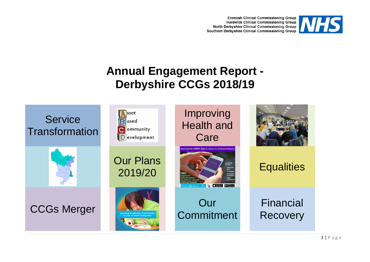**Erewash Clinical Commissioning Group Hardwick Clinical Commissioning Group** North Derbyshire Clinical Commissioning Group Southern Derbyshire Clinical Commissioning Group



# **Annual Engagement Report - Derbyshire CCGs 2018/19**

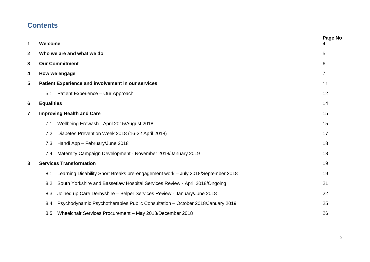## **Contents**

| $\mathbf 1$             | Welcome           |                                                                                 | Page No        |
|-------------------------|-------------------|---------------------------------------------------------------------------------|----------------|
| $\overline{2}$          |                   | Who we are and what we do                                                       | 5              |
| 3                       |                   | <b>Our Commitment</b>                                                           | 6              |
| 4                       |                   | How we engage                                                                   | $\overline{7}$ |
| 5                       |                   | Patient Experience and involvement in our services                              | 11             |
|                         | 5.1               | Patient Experience - Our Approach                                               | 12             |
| 6                       | <b>Equalities</b> |                                                                                 | 14             |
| $\overline{\mathbf{7}}$ |                   | <b>Improving Health and Care</b>                                                | 15             |
|                         | 7.1               | Wellbeing Erewash - April 2015/August 2018                                      | 15             |
|                         | 7.2               | Diabetes Prevention Week 2018 (16-22 April 2018)                                | 17             |
|                         | 7.3               | Handi App - February/June 2018                                                  | 18             |
|                         | 7.4               | Maternity Campaign Development - November 2018/January 2019                     | 18             |
| 8                       |                   | <b>Services Transformation</b>                                                  | 19             |
|                         | 8.1               | Learning Disability Short Breaks pre-engagement work - July 2018/September 2018 | 19             |
|                         | 8.2               | South Yorkshire and Bassetlaw Hospital Services Review - April 2018/Ongoing     | 21             |
|                         | 8.3               | Joined up Care Derbyshire - Belper Services Review - January/June 2018          | 22             |
|                         | 8.4               | Psychodynamic Psychotherapies Public Consultation - October 2018/January 2019   | 25             |
|                         | 8.5               | Wheelchair Services Procurement - May 2018/December 2018                        | 26             |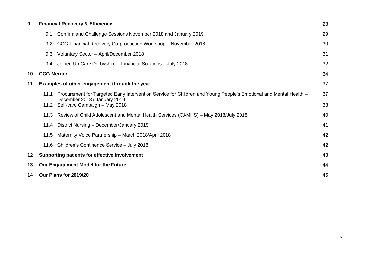| 9  | <b>Financial Recovery &amp; Efficiency</b> |                                                                                                                                                   |    |
|----|--------------------------------------------|---------------------------------------------------------------------------------------------------------------------------------------------------|----|
|    | 9.1                                        | Confirm and Challenge Sessions November 2018 and January 2019                                                                                     | 29 |
|    | 9.2                                        | CCG Financial Recovery Co-production Workshop - November 2018                                                                                     | 30 |
|    | 9.3                                        | Voluntary Sector - April/December 2018                                                                                                            | 31 |
|    | 9.4                                        | Joined Up Care Derbyshire - Financial Solutions - July 2018                                                                                       | 32 |
| 10 | <b>CCG Merger</b>                          |                                                                                                                                                   | 34 |
| 11 |                                            | Examples of other engagement through the year                                                                                                     | 37 |
|    | 11.1                                       | Procurement for Targeted Early Intervention Service for Children and Young People's Emotional and Mental Health –<br>December 2018 / January 2019 | 37 |
|    | 11.2                                       | Self-care Campaign - May 2018                                                                                                                     | 38 |
|    | 11.3                                       | Review of Child Adolescent and Mental Health Services (CAMHS) – May 2018/July 2018                                                                | 40 |
|    | 11.4                                       | District Nursing - December/January 2019                                                                                                          | 41 |
|    | 11.5                                       | Maternity Voice Partnership - March 2018/April 2018                                                                                               | 42 |
|    | 11.6                                       | Children's Continence Service - July 2018                                                                                                         | 42 |
| 12 |                                            | <b>Supporting patients for effective Involvement</b>                                                                                              | 43 |
| 13 |                                            | Our Engagement Model for the Future                                                                                                               | 44 |
| 14 |                                            | Our Plans for 2019/20                                                                                                                             | 45 |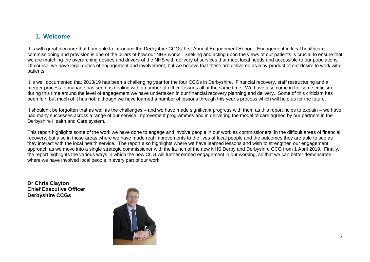#### **1. Welcome**

It is with great pleasure that I am able to introduce the Derbyshire CCGs' first Annual Engagement Report. Engagement in local healthcare commissioning and provision is one of the pillars of how our NHS works. Seeking and acting upon the views of our patients is crucial to ensure that we are matching the overarching desires and drivers of the NHS with delivery of services that meet local needs and accessible to our populations. Of course, we have legal duties of engagement and involvement, but we believe that these are delivered as a by-product of our desire to work with patients.

It is well documented that 2018/19 has been a challenging year for the four CCGs in Derbyshire. Financial recovery, staff restructuring and a merger process to manage has seen us dealing with a number of difficult issues all at the same time. We have also come in for some criticism during this time around the level of engagement we have undertaken in our financial recovery planning and delivery. Some of this criticism has been fair, but much of it has not, although we have learned a number of lessons through this year's process which will help us for the future.

It shouldn't be forgotten that as well as the challenges – and we have made significant progress with them as this report helps to explain – we have had many successes across a range of our service improvement programmes and in delivering the model of care agreed by our partners in the Derbyshire Health and Care system.

This report highlights some of the work we have done to engage and involve people in our work as commissioners, in the difficult areas of financial recovery, but also in those areas where we have made real improvements to the lives of local people and the outcomes they are able to see as they interact with the local health service. The report also highlights where we have learned lessons and wish to strengthen our engagement approach as we move into a single strategic commissioner with the launch of the new NHS Derby and Derbyshire CCG from 1 April 2019. Finally, the report highlights the various ways in which the new CCG will further embed engagement in our working, so that we can better demonstrate where we have involved local people in every part of our work.

**Dr Chris Clayton Chief Executive Officer Derbyshire CCGs**

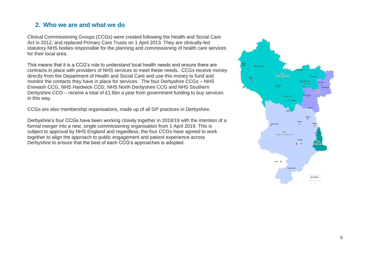#### **2. Who we are and what we do**

Clinical Commissioning Groups (CCGs) were created following the Health and Social Care Act in 2012, and replaced Primary Care Trusts on 1 April 2013. They are clinically-led statutory NHS bodies responsible for the planning and commissioning of health care services for their local area.

This means that it is a CCG's role to understand local health needs and ensure there are contracts in place with providers of NHS services to meet these needs. CCGs receive money directly from the Department of Health and Social Care and use this money to fund and monitor the contacts they have in place for services. The four Derbyshire CCGs – NHS Erewash CCG, NHS Hardwick CCG, NHS North Derbyshire CCG and NHS Southern Derbyshire CCG – receive a total of £1.6bn a year from government funding to buy services in this way.

CCGs are also membership organisations, made up of all GP practices in Derbyshire.

Derbyshire's four CCGs have been working closely together in 2018/19 with the intention of a formal merger into a new, single commissioning organisation from 1 April 2019. This is subject to approval by NHS England and regardless, the four CCGs have agreed to work together to align the approach to public engagement and patient experience across Derbyshire to ensure that the best of each CCG's approaches is adopted.

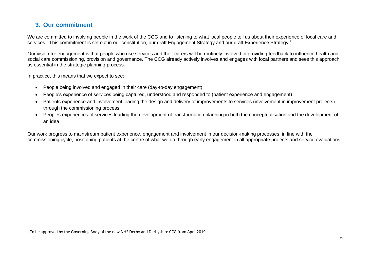#### **3. Our commitment**

 $\overline{a}$ 

We are committed to involving people in the work of the CCG and to listening to what local people tell us about their experience of local care and services. This commitment is set out in our constitution, our draft Engagement Strategy and our draft Experience Strategy.<sup>1</sup>

Our vision for engagement is that people who use services and their carers will be routinely involved in providing feedback to influence health and social care commissioning, provision and governance. The CCG already actively involves and engages with local partners and sees this approach as essential in the strategic planning process.

In practice, this means that we expect to see:

- People being involved and engaged in their care (day-to-day engagement)
- People's experience of services being captured, understood and responded to (patient experience and engagement)
- Patients experience and involvement leading the design and delivery of improvements to services (involvement in improvement projects) through the commissioning process
- Peoples experiences of services leading the development of transformation planning in both the conceptualisation and the development of an idea

Our work progress to mainstream patient experience, engagement and involvement in our decision-making processes, in line with the commissioning cycle, positioning patients at the centre of what we do through early engagement in all appropriate projects and service evaluations.

 $^1$  To be approved by the Governing Body of the new NHS Derby and Derbyshire CCG from April 2019.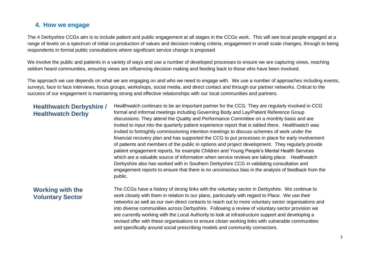#### **4. How we engage**

The 4 Derbyshire CCGs aim is to include patient and public engagement at all stages in the CCGs work. This will see local people engaged at a range of levels on a spectrum of initial co-production of values and decision-making criteria, engagement in small scale changes, through to being respondents in formal public consultations where significant service change is proposed

We involve the public and patients in a variety of ways and use a number of developed processes to ensure we are capturing views, reaching seldom heard communities, ensuring views are influencing decision making and feeding back to those who have been involved.

The approach we use depends on what we are engaging on and who we need to engage with. We use a number of approaches including events, surveys, face to face interviews, focus groups, workshops, social media, and direct contact and through our partner networks. Critical to the success of our engagement is maintaining strong and effective relationships with our local communities and partners.

#### **Healthwatch Derbyshire / Healthwatch Derby**

Healthwatch continues to be an important partner for the CCG. They are regularly involved in CCG formal and informal meetings including Governing Body and Lay/Patient Reference Group discussions. They attend the Quality and Performance Committee on a monthly basis and are invited to input into the quarterly patient experience report that is tabled there. Healthwatch was invited to fortnightly commissioning intention meetings to discuss schemes of work under the financial recovery plan and has supported the CCG to put processes in place for early involvement of patients and members of the public in options and project development. They regularly provide patient engagement reports, for example Children and Young People's Mental Health Services which are a valuable source of information when service reviews are taking place. Healthwatch Derbyshire also has worked with in Southern Derbyshire CCG in validating consultation and engagement reports to ensure that there is no unconscious bias in the analysis of feedback from the public.

#### **Working with the Voluntary Sector**

The CCGs have a history of strong links with the voluntary sector in Derbyshire. We continue to work closely with them in relation to our plans, particularly with regard to Place. We use their networks as well as our own direct contacts to reach out to more voluntary sector organisations and into diverse communities across Derbyshire. Following a review of voluntary sector provision we are currently working with the Local Authority to look at infrastructure support and developing a revised offer with these organisations to ensure closer working links with vulnerable communities and specifically around social prescribing models and community connectors.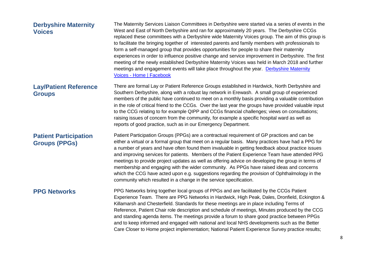| <b>Derbyshire Maternity</b><br><b>Voices</b>         | The Maternity Services Liaison Committees in Derbyshire were started via a series of events in the<br>West and East of North Derbyshire and ran for approximately 20 years. The Derbyshire CCGs<br>replaced these committees with a Derbyshire wide Maternity Voices group. The aim of this group is<br>to facilitate the bringing together of interested parents and family members with professionals to<br>form a self-managed group that provides opportunities for people to share their maternity<br>experiences in order to influence positive change and service improvement in Derbyshire. The first<br>meeting of the newly established Derbyshire Maternity Voices was held in March 2018 and further<br>meetings and engagement events will take place throughout the year. Derbyshire Maternity<br>Voices - Home   Facebook |
|------------------------------------------------------|------------------------------------------------------------------------------------------------------------------------------------------------------------------------------------------------------------------------------------------------------------------------------------------------------------------------------------------------------------------------------------------------------------------------------------------------------------------------------------------------------------------------------------------------------------------------------------------------------------------------------------------------------------------------------------------------------------------------------------------------------------------------------------------------------------------------------------------|
| <b>Lay/Patient Reference</b><br><b>Groups</b>        | There are formal Lay or Patient Reference Groups established in Hardwick, North Derbyshire and<br>Southern Derbyshire, along with a robust lay network in Erewash. A small group of experienced<br>members of the public have continued to meet on a monthly basis providing a valuable contribution<br>in the role of critical friend to the CCGs. Over the last year the groups have provided valuable input<br>to the CCG relating to for example QIPP and CCGs financial challenges; views on consultations;<br>raising issues of concern from the community, for example a specific hospital ward as well as<br>reports of good practice, such as in our Emergency Department.                                                                                                                                                      |
| <b>Patient Participation</b><br><b>Groups (PPGs)</b> | Patient Participation Groups (PPGs) are a contractual requirement of GP practices and can be<br>either a virtual or a formal group that meet on a regular basis. Many practices have had a PPG for<br>a number of years and have often found them invaluable in getting feedback about practice issues<br>and improving services for patients. Members of the Patient Experience Team have attended PPG<br>meetings to provide project updates as well as offering advice on developing the group in terms of<br>membership and engaging with the wider community. As PPGs have raised ideas and concerns<br>which the CCG have acted upon e.g. suggestions regarding the provision of Ophthalmology in the<br>community which resulted in a change in the service specification.                                                        |
| <b>PPG Networks</b>                                  | PPG Networks bring together local groups of PPGs and are facilitated by the CCGs Patient<br>Experience Team. There are PPG Networks in Hardwick, High Peak, Dales, Dronfield, Eckington &<br>Killamarsh and Chesterfield. Standards for these meetings are in place including Terms of<br>Reference, Patient Chair role description and schedule of meetings, Minutes produced by the CCG<br>and standing agenda items. The meetings provide a forum to share good practice between PPGs<br>and to keep informed and engaged with national and local NHS developments such as the Better<br>Care Closer to Home project implementation; National Patient Experience Survey practice results;                                                                                                                                             |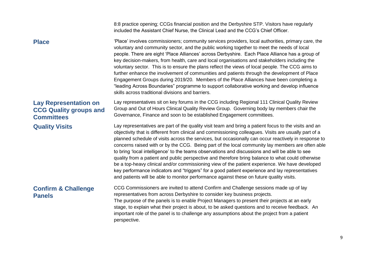|                                                                                    | 8:8 practice opening; CCGs financial position and the Derbyshire STP. Visitors have regularly<br>included the Assistant Chief Nurse, the Clinical Lead and the CCG's Chief Officer.                                                                                                                                                                                                                                                                                                                                                                                                                                                                                                                                                                                                                                                                                                                                                  |
|------------------------------------------------------------------------------------|--------------------------------------------------------------------------------------------------------------------------------------------------------------------------------------------------------------------------------------------------------------------------------------------------------------------------------------------------------------------------------------------------------------------------------------------------------------------------------------------------------------------------------------------------------------------------------------------------------------------------------------------------------------------------------------------------------------------------------------------------------------------------------------------------------------------------------------------------------------------------------------------------------------------------------------|
| <b>Place</b>                                                                       | 'Place' involves commissioners; community services providers, local authorities, primary care, the<br>voluntary and community sector, and the public working together to meet the needs of local<br>people. There are eight 'Place Alliances' across Derbyshire. Each Place Alliance has a group of<br>key decision-makers, from health, care and local organisations and stakeholders including the<br>voluntary sector. This is to ensure the plans reflect the views of local people. The CCG aims to<br>further enhance the involvement of communities and patients through the development of Place<br>Engagement Groups during 2019/20. Members of the Place Alliances have been completing a<br>"leading Across Boundaries" programme to support collaborative working and develop influence<br>skills across traditional divisions and barriers.                                                                             |
| <b>Lay Representation on</b><br><b>CCG Quality groups and</b><br><b>Committees</b> | Lay representatives sit on key forums in the CCG including Regional 111 Clinical Quality Review<br>Group and Out of Hours Clinical Quality Review Group. Governing body lay members chair the<br>Governance, Finance and soon to be established Engagement committees.                                                                                                                                                                                                                                                                                                                                                                                                                                                                                                                                                                                                                                                               |
| <b>Quality Visits</b>                                                              | Lay representatives are part of the quality visit team and bring a patient focus to the visits and an<br>objectivity that is different from clinical and commissioning colleagues. Visits are usually part of a<br>planned schedule of visits across the services, but occasionally can occur reactively in response to<br>concerns raised with or by the CCG. Being part of the local community lay members are often able<br>to bring 'local intelligence' to the teams observations and discussions and will be able to see<br>quality from a patient and public perspective and therefore bring balance to what could otherwise<br>be a top-heavy clinical and/or commissioning view of the patient experience. We have developed<br>key performance indicators and "triggers" for a good patient experience and lay representatives<br>and patients will be able to monitor performance against these on future quality visits. |
| <b>Confirm &amp; Challenge</b><br><b>Panels</b>                                    | CCG Commissioners are invited to attend Confirm and Challenge sessions made up of lay<br>representatives from across Derbyshire to consider key business projects.<br>The purpose of the panels is to enable Project Managers to present their projects at an early<br>stage, to explain what their project is about, to be asked questions and to receive feedback. An<br>important role of the panel is to challenge any assumptions about the project from a patient<br>perspective.                                                                                                                                                                                                                                                                                                                                                                                                                                              |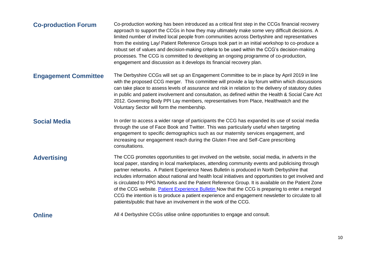| <b>Co-production Forum</b>  | Co-production working has been introduced as a critical first step in the CCGs financial recovery<br>approach to support the CCGs in how they may ultimately make some very difficult decisions. A<br>limited number of invited local people from communities across Derbyshire and representatives<br>from the existing Lay/ Patient Reference Groups took part in an initial workshop to co-produce a<br>robust set of values and decision-making criteria to be used within the CCG's decision-making<br>processes. The CCG is committed to developing an ongoing programme of co-production,<br>engagement and discussion as it develops its financial recovery plan.                                                                                                                   |
|-----------------------------|---------------------------------------------------------------------------------------------------------------------------------------------------------------------------------------------------------------------------------------------------------------------------------------------------------------------------------------------------------------------------------------------------------------------------------------------------------------------------------------------------------------------------------------------------------------------------------------------------------------------------------------------------------------------------------------------------------------------------------------------------------------------------------------------|
| <b>Engagement Committee</b> | The Derbyshire CCGs will set up an Engagement Committee to be in place by April 2019 in line<br>with the proposed CCG merger. This committee will provide a lay forum within which discussions<br>can take place to assess levels of assurance and risk in relation to the delivery of statutory duties<br>in public and patient involvement and consultation, as defined within the Health & Social Care Act<br>2012. Governing Body PPI Lay members, representatives from Place, Healthwatch and the<br>Voluntary Sector will form the membership.                                                                                                                                                                                                                                        |
| <b>Social Media</b>         | In order to access a wider range of participants the CCG has expanded its use of social media<br>through the use of Face Book and Twitter. This was particularly useful when targeting<br>engagement to specific demographics such as our maternity services engagement, and<br>increasing our engagement reach during the Gluten Free and Self-Care prescribing<br>consultations.                                                                                                                                                                                                                                                                                                                                                                                                          |
| <b>Advertising</b>          | The CCG promotes opportunities to get involved on the website, social media, in adverts in the<br>local paper, standing in local marketplaces, attending community events and publicising through<br>partner networks. A Patient Experience News Bulletin is produced in North Derbyshire that<br>includes information about national and health local initiatives and opportunities to get involved and<br>is circulated to PPG Networks and the Patient Reference Group. It is available on the Patient Zone<br>of the CCG website. Patient Experience Bulletin Now that the CCG is preparing to enter a merged<br>CCG the intention is to produce a patient experience and engagement newsletter to circulate to all<br>patients/public that have an involvement in the work of the CCG. |
| <b>Online</b>               | All 4 Derbyshire CCGs utilise online opportunities to engage and consult.                                                                                                                                                                                                                                                                                                                                                                                                                                                                                                                                                                                                                                                                                                                   |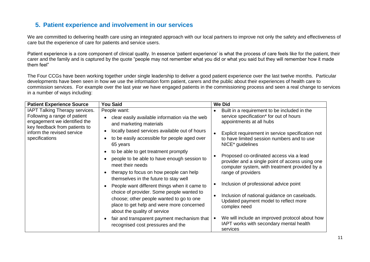#### **5. Patient experience and involvement in our services**

We are committed to delivering health care using an integrated approach with our local partners to improve not only the safety and effectiveness of care but the experience of care for patients and service users.

Patient experience is a core component of clinical quality. In essence 'patient experience' is what the process of care feels like for the patient, their carer and the family and is captured by the quote "people may not remember what you did or what you said but they will remember how it made them feel"

The Four CCGs have been working together under single leadership to deliver a good patient experience over the last twelve months. Particular developments have been seen in how we use the information form patient, carers and the public about their experiences of health care to commission services. For example over the last year we have engaged patients in the commissioning process and seen a real change to services in a number of ways including:

| <b>Patient Experience Source</b>                                                                                                                                                       | <b>You Said</b>                                                                                                                                                                                                                                                                                                                                                                                                                                                                                                                                                                                                             | <b>We Did</b>                                                                                                                                                                                                                                                                                                                                                                                                                                                                                                                                                                  |
|----------------------------------------------------------------------------------------------------------------------------------------------------------------------------------------|-----------------------------------------------------------------------------------------------------------------------------------------------------------------------------------------------------------------------------------------------------------------------------------------------------------------------------------------------------------------------------------------------------------------------------------------------------------------------------------------------------------------------------------------------------------------------------------------------------------------------------|--------------------------------------------------------------------------------------------------------------------------------------------------------------------------------------------------------------------------------------------------------------------------------------------------------------------------------------------------------------------------------------------------------------------------------------------------------------------------------------------------------------------------------------------------------------------------------|
| <b>IAPT Talking Therapy services.</b><br>Following a range of patient<br>engagement we identified the<br>key feedback from patients to<br>inform the revised service<br>specifications | People want:<br>clear easily available information via the web<br>and marketing materials<br>locally based services available out of hours<br>to be easily accessible for people aged over<br>65 years<br>to be able to get treatment promptly<br>people to be able to have enough session to<br>meet their needs<br>therapy to focus on how people can help<br>themselves in the future to stay well<br>People want different things when it came to<br>choice of provider. Some people wanted to<br>choose; other people wanted to go to one<br>place to get help and were more concerned<br>about the quality of service | Built in a requirement to be included in the<br>service specification* for out of hours<br>appointments at all hubs<br>Explicit requirement in service specification not<br>to have limited session numbers and to use<br>NICE <sup>*</sup> guidelines<br>Proposed co-ordinated access via a lead<br>provider and a single point of access using one<br>computer system, with treatment provided by a<br>range of providers<br>Inclusion of professional advice point<br>Inclusion of national guidance on caseloads.<br>Updated payment model to reflect more<br>complex need |
|                                                                                                                                                                                        | fair and transparent payment mechanism that<br>recognised cost pressures and the                                                                                                                                                                                                                                                                                                                                                                                                                                                                                                                                            | We will include an improved protocol about how<br>IAPT works with secondary mental health<br>services                                                                                                                                                                                                                                                                                                                                                                                                                                                                          |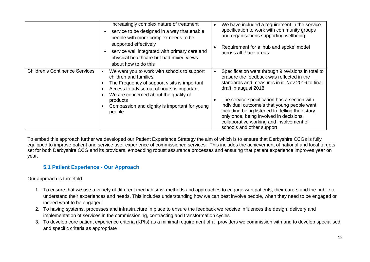|                                       | increasingly complex nature of treatment<br>service to be designed in a way that enable<br>people with more complex needs to be<br>supported effectively<br>service well integrated with primary care and<br>physical healthcare but had mixed views<br>about how to do this       | We have included a requirement in the service<br>specification to work with community groups<br>and organisations supporting wellbeing<br>Requirement for a 'hub and spoke' model<br>across all Place areas                                                                                                                                                                                                                                       |
|---------------------------------------|------------------------------------------------------------------------------------------------------------------------------------------------------------------------------------------------------------------------------------------------------------------------------------|---------------------------------------------------------------------------------------------------------------------------------------------------------------------------------------------------------------------------------------------------------------------------------------------------------------------------------------------------------------------------------------------------------------------------------------------------|
| <b>Children's Continence Services</b> | We want you to work with schools to support<br>children and families<br>The Frequency of support visits is important<br>Access to advise out of hours is important<br>We are concerned about the quality of<br>products<br>Compassion and dignity is important for young<br>people | Specification went through 9 revisions in total to<br>erasure the feedback was reflected in the<br>standards and measures in it. Nov 2016 to final<br>draft in august 2018<br>The service specification has a section with<br>individual outcome's that young people want<br>including being listened to, telling their story<br>only once, being involved in decisions,<br>collaborative working and involvement of<br>schools and other support |

To embed this approach further we developed our Patient Experience Strategy the aim of which is to ensure that Derbyshire CCGs is fully equipped to improve patient and service user experience of commissioned services. This includes the achievement of national and local targets set for both Derbyshire CCG and its providers, embedding robust assurance processes and ensuring that patient experience improves year on year.

#### **5.1 Patient Experience - Our Approach**

#### Our approach is threefold

- 1. To ensure that we use a variety of different mechanisms, methods and approaches to engage with patients, their carers and the public to understand their experiences and needs. This includes understanding how we can best involve people, when they need to be engaged or indeed want to be engaged
- 2. To having systems, processes and infrastructure in place to ensure the feedback we receive influences the design, delivery and implementation of services in the commissioning, contracting and transformation cycles
- 3. To develop core patient experience criteria (KPIs) as a minimal requirement of all providers we commission with and to develop specialised and specific criteria as appropriate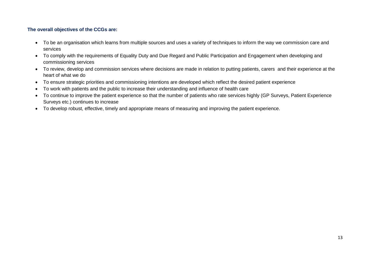#### **The overall objectives of the CCGs are:**

- To be an organisation which learns from multiple sources and uses a variety of techniques to inform the way we commission care and services
- To comply with the requirements of Equality Duty and Due Regard and Public Participation and Engagement when developing and commissioning services
- To review, develop and commission services where decisions are made in relation to putting patients, carers and their experience at the heart of what we do
- To ensure strategic priorities and commissioning intentions are developed which reflect the desired patient experience
- To work with patients and the public to increase their understanding and influence of health care
- To continue to improve the patient experience so that the number of patients who rate services highly (GP Surveys, Patient Experience Surveys etc.) continues to increase
- To develop robust, effective, timely and appropriate means of measuring and improving the patient experience.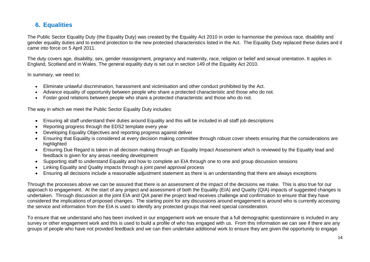#### **6. Equalities**

The Public Sector Equality Duty (the Equality Duty) was created by the Equality Act 2010 in order to harmonise the previous race, disability and gender equality duties and to extend protection to the new protected characteristics listed in the Act. The Equality Duty replaced these duties and it came into force on 5 April 2011.

The duty covers age, disability, sex, gender reassignment, pregnancy and maternity, race, religion or belief and sexual orientation. It applies in England, Scotland and in Wales. The general equality duty is set out in section 149 of the Equality Act 2010.

In summary, we need to:

- Eliminate unlawful discrimination, harassment and victimisation and other conduct prohibited by the Act.
- Advance equality of opportunity between people who share a protected characteristic and those who do not.
- Foster good relations between people who share a protected characteristic and those who do not.

The way in which we meet the Public Sector Equality Duty includes:

- Ensuring all staff understand their duties around Equality and this will be included in all staff job descriptions
- Reporting progress through the EDS2 template every year
- Developing Equality Objectives and reporting progress against deliver
- Ensuring that Equality is considered at every decision making committee through robust cover sheets ensuring that the considerations are highlighted
- Ensuring Due Regard is taken in all decision making through an Equality Impact Assessment which is reviewed by the Equality lead and feedback is given for any areas needing development
- Supporting staff to understand Equality and how to complete an EIA through one to one and group discussion sessions
- Linking Equality and Quality impacts through a joint panel approval process
- Ensuring all decisions include a reasonable adjustment statement as there is an understanding that there are always exceptions

Through the processes above we can be assured that there is an assessment of the impact of the decisions we make. This is also true for our approach to engagement. At the start of any project and assessment of both the Equality (EIA) and Quality (QIA) impacts of suggested changes is undertaken. Through discussion at the joint EIA and QIA panel the project lead receives challenge and confirmation to ensure that they have considered the implications of proposed changes. The starting point for any discussions around engagement is around who is currently accessing the service and information from the EIA is used to identify any protected groups that need special consideration.

To ensure that we understand who has been involved in our engagement work we ensure that a full demographic questionnaire is included in any survey or other engagement work and this is used to build a profile of who has engaged with us. From this information we can see if there are any groups of people who have not provided feedback and we can then undertake additional work to ensure they are given the opportunity to engage.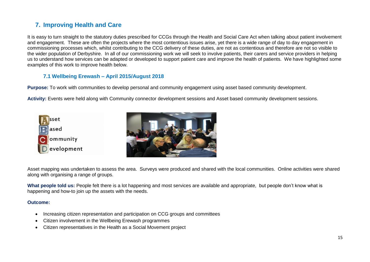### **7. Improving Health and Care**

It is easy to turn straight to the statutory duties prescribed for CCGs through the Health and Social Care Act when talking about patient involvement and engagement. These are often the projects where the most contentious issues arise, yet there is a wide range of day to day engagement in commissioning processes which, whilst contributing to the CCG delivery of these duties, are not as contentious and therefore are not so visible to the wider population of Derbyshire. In all of our commissioning work we will seek to involve patients, their carers and service providers in helping us to understand how services can be adapted or developed to support patient care and improve the health of patients. We have highlighted some examples of this work to improve health below.

#### **7.1 Wellbeing Erewash – April 2015/August 2018**

**Purpose:** To work with communities to develop personal and community engagement using asset based community development.

**Activity:** Events were held along with Community connector development sessions and Asset based community development sessions.





Asset mapping was undertaken to assess the area. Surveys were produced and shared with the local communities. Online activities were shared along with organising a range of groups.

What people told us: People felt there is a lot happening and most services are available and appropriate, but people don't know what is happening and how-to join up the assets with the needs.

#### **Outcome:**

- Increasing citizen representation and participation on CCG groups and committees
- Citizen involvement in the Wellbeing Erewash programmes
- Citizen representatives in the Health as a Social Movement project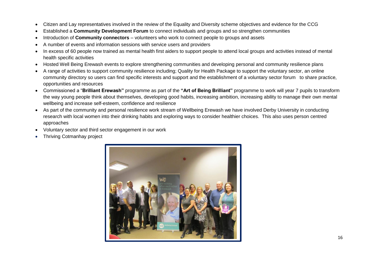- Citizen and Lay representatives involved in the review of the Equality and Diversity scheme objectives and evidence for the CCG
- Established a **Community Development Forum** to connect individuals and groups and so strengthen communities
- Introduction of **Community connectors** volunteers who work to connect people to groups and assets
- A number of events and information sessions with service users and providers
- In excess of 60 people now trained as mental health first aiders to support people to attend local groups and activities instead of mental health specific activities
- Hosted Well Being Erewash events to explore strengthening communities and developing personal and community resilience plans
- A range of activities to support community resilience including; Quality for Health Package to support the voluntary sector, an online community directory so users can find specific interests and support and the establishment of a voluntary sector forum to share practice, opportunities and resources
- Commissioned a "**Brilliant Erewash"** programme as part of the **"Art of Being Brilliant"** programme to work will year 7 pupils to transform the way young people think about themselves, developing good habits, increasing ambition, increasing ability to manage their own mental wellbeing and increase self-esteem, confidence and resilience
- As part of the community and personal resilience work stream of Wellbeing Erewash we have involved Derby University in conducting research with local women into their drinking habits and exploring ways to consider healthier choices. This also uses person centred approaches
- Voluntary sector and third sector engagement in our work
- Thriving Cotmanhay project

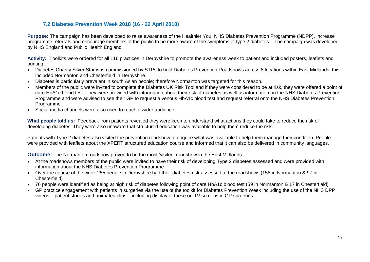#### **7.2 Diabetes Prevention Week 2018 (16 - 22 April 2018)**

**Purpose:** The [campaign](https://campaignresources.phe.gov.uk/resources/campaigns/72-diabetes-prevention-week/overview) has been developed to raise awareness of the Healthier You: NHS Diabetes Prevention Programme (NDPP), increase programme referrals and encourage members of the public to be more aware of the symptoms of type 2 diabetes. The campaign was developed by NHS England and Public Health England.

**Activity:** Toolkits were ordered for all 116 practices in Derbyshire to promote the awareness week to patient and included posters, leaflets and bunting.

- Diabetes Charity Silver Star was commissioned by STPs to hold Diabetes Prevention Roadshows across 8 locations within East Midlands, this included Normanton and Chesterfield in Derbyshire.
- Diabetes is particularly prevalent in south Asian people; therefore Normanton was targeted for this reason.
- Members of the public were invited to complete the Diabetes UK Risk Tool and if they were considered to be at risk, they were offered a point of care HbA1c blood test. They were provided with information about their risk of diabetes as well as information on the NHS Diabetes Prevention Programme and were advised to see their GP to request a venous HbA1c blood test and request referral onto the NHS Diabetes Prevention Programme.
- Social media channels were also used to reach a wider audience.

**What people told us:** Feedback from patients revealed they were keen to understand what actions they could take to reduce the risk of developing diabetes. They were also unaware that structured education was available to help them reduce the risk.

Patients with Type 2 diabetes also visited the prevention roadshow to enquire what was available to help them manage their condition. People were provided with leaflets about the XPERT structured education course and informed that it can also be delivered in community languages.

**Outcome:** The Normanton roadshow proved to be the most 'visited' roadshow in the East Midlands.

- At the roadshows members of the public were invited to have their risk of developing Type 2 diabetes assessed and were provided with information about the NHS Diabetes Prevention Programme
- Over the course of the week 255 people in Derbyshire had their diabetes risk assessed at the roadshows (158 in Normanton & 97 in Chesterfield)
- 76 people were identified as being at high risk of diabetes following point of care HbA1c blood test (59 in Normanton & 17 in Chesterfield)
- GP practice engagement with patients in surgeries via the use of the toolkit for Diabetes Prevention Week including the use of the NHS DPP videos – patient stories and animated clips – including display of these on TV screens in GP surgeries.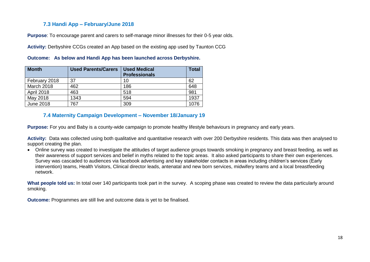#### **7.3 Handi App – February/June 2018**

**Purpose**: To encourage parent and carers to self-manage minor illnesses for their 0-5 year olds.

**Activity:** Derbyshire CCGs created an App based on the existing app used by Taunton CCG

| <b>Month</b>      | <b>Used Parents/Carers</b> | <b>Used Medical</b><br><b>Professionals</b> | <b>Total</b> |
|-------------------|----------------------------|---------------------------------------------|--------------|
| February 2018     | 37                         | 10                                          | 62           |
| March 2018        | 462                        | 186                                         | 648          |
| <b>April 2018</b> | 463                        | 518                                         | 981          |
| May 2018          | 1343                       | 594                                         | 1937         |
| June 2018         | 767                        | 309                                         | 1076         |

**Outcome: As below and Handi App has been launched across Derbyshire.**

#### **7.4 Maternity Campaign Development – November 18/January 19**

**Purpose:** For you and Baby is a county-wide campaign to promote healthy lifestyle behaviours in pregnancy and early years.

**Activity:** Data was collected using both qualitative and quantitative research with over 200 Derbyshire residents. This data was then analysed to support creating the plan.

 Online survey was created to investigate the attitudes of target audience groups towards smoking in pregnancy and breast feeding, as well as their awareness of support services and belief in myths related to the topic areas. It also asked participants to share their own experiences. Survey was cascaded to audiences via facebook advertising and key stakeholder contacts in areas including children's services (Early intervention) teams, Health Visitors, Clinical director leads, antenatal and new born services, midwifery teams and a local breastfeeding network.

**What people told us:** In total over 140 participants took part in the survey. A scoping phase was created to review the data particularly around smoking.

**Outcome:** Programmes are still live and outcome data is yet to be finalised.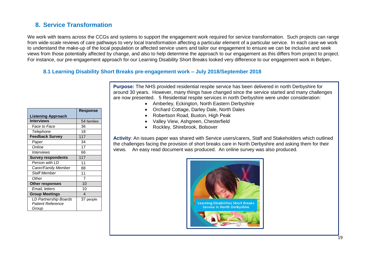#### **8. Service Transformation**

We work with teams across the CCGs and systems to support the engagement work required for service transformation. Such projects can range from wide-scale reviews of care pathways to very local transformation affecting a particular element of a particular service. In each case we work to understand the make-up of the local population or affected service users and tailor our engagement to ensure we can be inclusive and seek views from those potentially affected by change, and also to help determine the approach to our engagement as this differs from project to project. For instance, our pre-engagement approach for our Learning Disability Short Breaks looked very difference to our engagement work in Belper**.**

#### **8.1 Learning Disability Short Breaks pre-engagement work – July 2018/September 2018**

|                           | <b>Response</b>        |
|---------------------------|------------------------|
| <b>Listening Approach</b> |                        |
| <b>Interviews</b>         | 54 families            |
| Face to Face              | 36                     |
| Telephone                 | 18                     |
| <b>Feedback Survey</b>    | 117                    |
| Paper                     | 34                     |
| Online                    | 17                     |
| Interviews                | 66                     |
| <b>Survey respondents</b> | 117                    |
| Person with LD            | 11                     |
| Carer/Family Member       | 88                     |
| <b>Staff Member</b>       | 11                     |
| Other                     | 7                      |
| <b>Other responses</b>    | 10                     |
| Email, letters            | 10                     |
| <b>Group Meetings</b>     | $\boldsymbol{\Lambda}$ |
| LD Partnership Boards     | 37 people              |
| <b>Patient Reference</b>  |                        |
| Group                     |                        |

- **Purpose:** The NHS provided residential respite service has been delivered in north Derbyshire for around 30 years. However, many things have changed since the service started and many challenges are now presented. 5 Residential respite services in north Derbyshire were under consideration:
	- Amberley, Eckington, North Eastern Derbyshire
	- Orchard Cottage, Darley Dale, North Dales
	- Robertson Road, Buxton, High Peak
	- Valley View, Ashgreen, Chesterfield
	- Rockley, Shirebrook, Bolsover

**Activity**: An issues paper was shared with Service users/carers, Staff and Stakeholders which outlined the challenges facing the provision of short breaks care in North Derbyshire and asking them for their views. An easy read document was produced. An online survey was also produced.

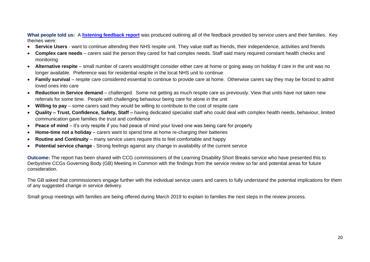**What people told us:** A **[listening feedback report](https://bit.ly/2l1cr0B)** was produced outlining all of the feedback provided by service users and their families. Key themes were:

- **Service Users** want to continue attending their NHS respite unit. They value staff as friends, their independence, activities and friends
- **Complex care needs**  carers said the person they cared for had complex needs. Staff said many required constant health checks and monitoring
- **Alternative respite**  small number of carers would/might consider either care at home or going away on holiday if care in the unit was no longer available. Preference was for residential respite in the local NHS unit to continue
- **Family survival** respite care considered essential to continue to provide care at home. Otherwise carers say they may be forced to admit loved ones into care
- **Reduction in Service demand** challenged. Some not getting as much respite care as previously. View that units have not taken new referrals for some time. People with challenging behaviour being care for alone in the unit
- **Willing to pay** some carers said they would be willing to contribute to the cost of respite care
- **Quality – Trust, Confidence, Safety, Staff –** having dedicated specialist staff who could deal with complex health needs, behaviour, limited communication gave families the trust and confidence
- **Peace of mind** it's only respite if you had peace of mind your loved one was being care for properly
- **Home-time not a holiday** carers want to spend time at home re-charging their batteries
- **Routine and Continuity** many service users require this to feel comfortable and happy
- **Potential service change** Strong feelings against any change in availability of the current service

**Outcome:** The report has been shared with CCG commissioners of the Learning Disability Short Breaks service who have presented this to Derbyshire CCGs Governing Body (GB) Meeting in Common with the findings from the service review so far and potential areas for future consideration.

The GB asked that commissioners engage further with the individual service users and carers to fully understand the potential implications for them of any suggested change in service delivery.

Small group meetings with families are being offered during March 2019 to explain to families the next steps in the review process.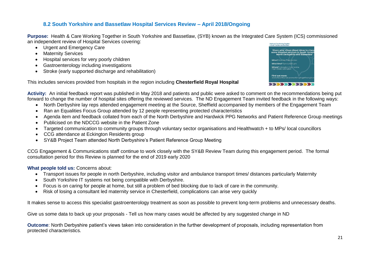#### **8.2 South Yorkshire and Bassetlaw Hospital Services Review – April 2018/Ongoing**

**Purpose:** Health & Care Working Together in South Yorkshire and Bassetlaw, (SYB) known as the Integrated Care System (ICS) commissioned an independent review of Hospital Services covering:

- Urgent and Emergency Care
- Maternity Services
- Hospital services for very poorly children
- Gastroenterology including investigations
- Stroke (early supported discharge and rehabilitation)



This includes services provided from hospitals in the region including **Chesterfield Royal Hospital**

**Activity:** An initial feedback report was published in May 2018 and patients and public were asked to comment on the recommendations being put forward to change the number of hospital sites offering the reviewed services. The ND Engagement Team invited feedback in the following ways:

- North Derbyshire lay reps attended engagement meeting at the Source, Sheffield accompanied by members of the Engagement Team
- Ran an Equalities Focus Group attended by 12 people representing protected characteristics
- Agenda item and feedback collated from each of the North Derbyshire and Hardwick PPG Networks and Patient Reference Group meetings
- Publicised on the NDCCG website in the Patient Zone
- Targeted communication to community groups through voluntary sector organisations and Healthwatch + to MPs/ local councillors
- CCG attendance at Eckington Residents group
- SY&B Project Team attended North Derbyshire's Patient Reference Group Meeting

CCG Engagement & Communications staff continue to work closely with the SY&B Review Team during this engagement period. The formal consultation period for this Review is planned for the end of 2019 early 2020

#### **What people told us:** Concerns about:

- Transport issues for people in north Derbyshire, including visitor and ambulance transport times/ distances particularly Maternity
- South Yorkshire IT systems not being compatible with Derbyshire.
- Focus is on caring for people at home, but still a problem of bed blocking due to lack of care in the community.
- Risk of losing a consultant led maternity service in Chesterfield, complications can arise very quickly

It makes sense to access this specialist gastroenterology treatment as soon as possible to prevent long-term problems and unnecessary deaths.

Give us some data to back up your proposals - Tell us how many cases would be affected by any suggested change in ND

**Outcome**: North Derbyshire patient's views taken into consideration in the further development of proposals, including representation from protected characteristics.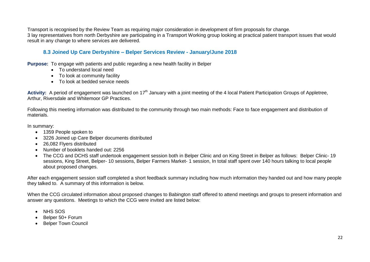Transport is recognised by the Review Team as requiring major consideration in development of firm proposals for change. 3 lay representatives from north Derbyshire are participating in a Transport Working group looking at practical patient transport issues that would result in any change to where services are delivered.

#### **8.3 Joined Up Care Derbyshire – Belper Services Review - January/June 2018**

**Purpose:** To engage with patients and public regarding a new health facility in Belper

- To understand local need
- To look at community facility
- To look at bedded service needs

Activity: A period of engagement was launched on 17<sup>th</sup> January with a joint meeting of the 4 local Patient Participation Groups of Appletree, Arthur, Riversdale and Whitemoor GP Practices.

Following this meeting information was distributed to the community through two main methods: Face to face engagement and distribution of materials.

In summary:

- 1359 People spoken to
- 3226 Joined up Care Belper documents distributed
- 26,082 Flyers distributed
- Number of booklets handed out: 2256
- The CCG and DCHS staff undertook engagement session both in Belper Clinic and on King Street in Belper as follows: Belper Clinic- 19 sessions, King Street, Belper- 10 sessions, Belper Farmers Market- 1 session, In total staff spent over 140 hours talking to local people about proposed changes.

After each engagement session staff completed a short feedback summary including how much information they handed out and how many people they talked to. A summary of this information is below.

When the CCG circulated information about proposed changes to Babington staff offered to attend meetings and groups to present information and answer any questions. Meetings to which the CCG were invited are listed below:

- NHS SOS
- Belper 50+ Forum
- Belper Town Council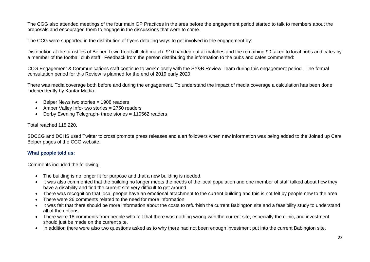The CGG also attended meetings of the four main GP Practices in the area before the engagement period started to talk to members about the proposals and encouraged them to engage in the discussions that were to come.

The CCG were supported in the distribution of flyers detailing ways to get involved in the engagement by:

Distribution at the turnstiles of Belper Town Football club match- 910 handed out at matches and the remaining 90 taken to local pubs and cafes by a member of the football club staff. Feedback from the person distributing the information to the pubs and cafes commented:

CCG Engagement & Communications staff continue to work closely with the SY&B Review Team during this engagement period. The formal consultation period for this Review is planned for the end of 2019 early 2020

There was media coverage both before and during the engagement. To understand the impact of media coverage a calculation has been done independently by Kantar Media:

- Belper News two stories = 1908 readers
- Amber Valley Info- two stories = 2750 readers
- Derby Evening Telegraph- three stories = 110562 readers

Total reached 115,220.

SDCCG and DCHS used Twitter to cross promote press releases and alert followers when new information was being added to the Joined up Care Belper pages of the CCG website.

#### **What people told us:**

Comments included the following:

- The building is no longer fit for purpose and that a new building is needed.
- It was also commented that the building no longer meets the needs of the local population and one member of staff talked about how they have a disability and find the current site very difficult to get around.
- There was recognition that local people have an emotional attachment to the current building and this is not felt by people new to the area
- There were 26 comments related to the need for more information.
- It was felt that there should be more information about the costs to refurbish the current Babington site and a feasibility study to understand all of the options
- There were 18 comments from people who felt that there was nothing wrong with the current site, especially the clinic, and investment should just be made on the current site.
- In addition there were also two questions asked as to why there had not been enough investment put into the current Babington site.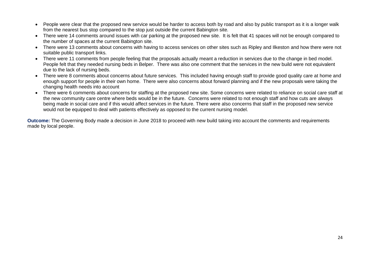- People were clear that the proposed new service would be harder to access both by road and also by public transport as it is a longer walk from the nearest bus stop compared to the stop just outside the current Babington site.
- There were 14 comments around issues with car parking at the proposed new site. It is felt that 41 spaces will not be enough compared to the number of spaces at the current Babington site.
- There were 13 comments about concerns with having to access services on other sites such as Ripley and Ilkeston and how there were not suitable public transport links.
- There were 11 comments from people feeling that the proposals actually meant a reduction in services due to the change in bed model. People felt that they needed nursing beds in Belper. There was also one comment that the services in the new build were not equivalent due to the lack of nursing beds.
- There were 8 comments about concerns about future services. This included having enough staff to provide good quality care at home and enough support for people in their own home. There were also concerns about forward planning and if the new proposals were taking the changing health needs into account
- There were 6 comments about concerns for staffing at the proposed new site. Some concerns were related to reliance on social care staff at the new community care centre where beds would be in the future. Concerns were related to not enough staff and how cuts are always being made in social care and if this would affect services in the future. There were also concerns that staff in the proposed new service would not be equipped to deal with patients effectively as opposed to the current nursing model.

**Outcome:** The Governing Body made a decision in June 2018 to proceed with new build taking into account the comments and requirements made by local people.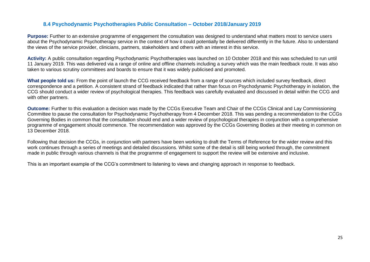#### **8.4 Psychodynamic Psychotherapies Public Consultation – October 2018/January 2019**

**Purpose:** Further to an extensive programme of engagement the consultation was designed to understand what matters most to service users about the Psychodynamic Psychotherapy service in the context of how it could potentially be delivered differently in the future. Also to understand the views of the service provider, clinicians, partners, stakeholders and others with an interest in this service.

**Activity:** A public consultation regarding Psychodynamic Psychotherapies was launched on 10 October 2018 and this was scheduled to run until 11 January 2019. This was delivered via a range of online and offline channels including a survey which was the main feedback route. It was also taken to various scrutiny committees and boards to ensure that it was widely publicised and promoted.

**What people told us:** From the point of launch the CCG received feedback from a range of sources which included survey feedback, direct correspondence and a petition. A consistent strand of feedback indicated that rather than focus on Psychodynamic Psychotherapy in isolation, the CCG should conduct a wider review of psychological therapies. This feedback was carefully evaluated and discussed in detail within the CCG and with other partners.

**Outcome:** Further to this evaluation a decision was made by the CCGs Executive Team and Chair of the CCGs Clinical and Lay Commissioning Committee to pause the consultation for Psychodynamic Psychotherapy from 4 December 2018. This was pending a recommendation to the CCGs Governing Bodies in common that the consultation should end and a wider review of psychological therapies in conjunction with a comprehensive programme of engagement should commence. The recommendation was approved by the CCGs Governing Bodies at their meeting in common on 13 December 2018.

Following that decision the CCGs, in conjunction with partners have been working to draft the Terms of Reference for the wider review and this work continues through a series of meetings and detailed discussions. Whilst some of the detail is still being worked through, the commitment made in public through various channels is that the programme of engagement to support the review will be extensive and inclusive.

This is an important example of the CCG's commitment to listening to views and changing approach in response to feedback.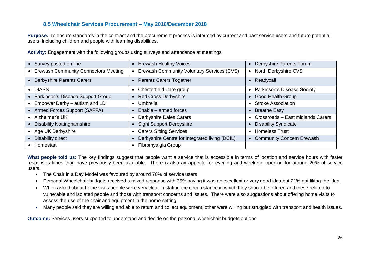#### **8.5 Wheelchair Services Procurement – May 2018/December 2018**

**Purpose:** To ensure standards in the contract and the procurement process is informed by current and past service users and future potential users, including children and people with learning disabilities.

| Survey posted on line                       | <b>Erewash Healthy Voices</b>                  | Derbyshire Parents Forum                        |
|---------------------------------------------|------------------------------------------------|-------------------------------------------------|
| <b>Erewash Community Connectors Meeting</b> | Erewash Community Voluntary Services (CVS)     | North Derbyshire CVS<br>$\bullet$               |
| <b>Derbyshire Parents Carers</b>            | <b>Parents Carers Together</b>                 | Readycall                                       |
| • DIASS                                     | Chesterfield Care group                        | <b>Parkinson's Disease Society</b><br>$\bullet$ |
| Parkinson's Disease Support Group           | <b>Red Cross Derbyshire</b>                    | <b>Good Health Group</b>                        |
| Empower Derby - autism and LD               | Umbrella                                       | <b>Stroke Association</b><br>$\bullet$          |
| Armed Forces Support (SAFFA)                | Enable – armed forces                          | <b>Breathe Easy</b><br>$\bullet$                |
| Alzheimer's UK                              | <b>Derbyshire Dales Carers</b>                 | Crossroads - East midlands Carers               |
| <b>Disability Nottinghamshire</b>           | <b>Sight Support Derbyshire</b>                | <b>Disability Syndicate</b>                     |
| Age UK Derbyshire                           | <b>Carers Sitting Services</b>                 | <b>Homeless Trust</b><br>$\bullet$              |
| Disability direct                           | Derbyshire Centre for Integrated living (DCIL) | <b>Community Concern Erewash</b>                |
| Homestart                                   | Fibromyalgia Group                             |                                                 |
|                                             |                                                |                                                 |

**Activity:** Engagement with the following groups using surveys and attendance at meetings:

**What people told us:** The key findings suggest that people want a service that is accessible in terms of location and service hours with faster responses times than have previously been available. There is also an appetite for evening and weekend opening for around 20% of service users.

- The Chair in a Day Model was favoured by around 70% of service users
- Personal Wheelchair budgets received a mixed response with 35% saying it was an excellent or very good idea but 21% not liking the idea.
- When asked about home visits people were very clear in stating the circumstance in which they should be offered and these related to vulnerable and isolated people and those with transport concerns and issues. There were also suggestions about offering home visits to assess the use of the chair and equipment in the home setting
- Many people said they are willing and able to return and collect equipment, other were willing but struggled with transport and health issues.

**Outcome:** Services users supported to understand and decide on the personal wheelchair budgets options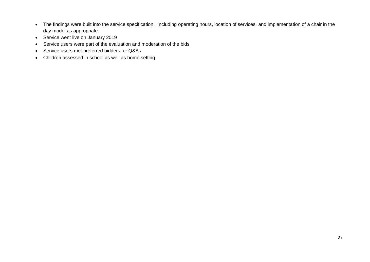- The findings were built into the service specification. Including operating hours, location of services, and implementation of a chair in the day model as appropriate
- Service went live on January 2019
- Service users were part of the evaluation and moderation of the bids
- Service users met preferred bidders for Q&As
- Children assessed in school as well as home setting.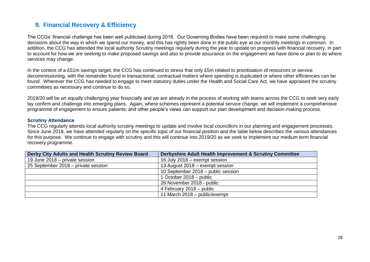#### **9. Financial Recovery & Efficiency**

The CCGs' financial challenge has been well publicised during 2018. Our Governing Bodies have been required to make some challenging decisions about the way in which we spend our money, and this has rightly been done in the public eye at our monthly meetings in common. In addition, the CCG has attended the local authority Scrutiny meetings regularly during the year to update on progress with financial recovery, in part to account for how we are seeking to make proposed savings and also to provide assurance on the engagement we have done or plan to do where services may change.

In the context of a £51m savings target, the CCG has continued to stress that only £5m related to prioritisation of resources or service decommissioning, with the remainder found in transactional, contractual matters where spending is duplicated or where other efficiencies can be found. Wherever the CCG has needed to engage to meet statutory duties under the Health and Social Care Act, we have appraised the scrutiny committees as necessary and continue to do so.

2019/20 will be an equally challenging year financially and we are already in the process of working with teams across the CCG to seek very early lay confirm and challenge into emerging plans. Again, where schemes represent a potential service change, we will implement a comprehensive programme of engagement to ensure patients; and other people's views can support our plan development and decision-making process.

#### **Scrutiny Attendance**

The CCG regularly attends local authority scrutiny meetings to update and involve local councillors in our planning and engagement processes. Since June 2018, we have attended regularly on the specific topic of our financial position and the table below describes the various attendances for this purpose. We continue to engage with scrutiny and this will continue into 2019/20 as we seek to implement our medium term financial recovery programme.

| Derby City Adults and Health Scrutiny Review Board | Derbyshire Adult Health Improvement & Scrutiny Committee |
|----------------------------------------------------|----------------------------------------------------------|
| 19 June 2018 – private session                     | 16 July 2018 – exempt session                            |
| 25 September 2018 – private session                | 13 August 2018 – exempt session                          |
|                                                    | 10 September 2018 – public session                       |
|                                                    | 1 October 2018 – public                                  |
|                                                    | 26 November 2018 - public                                |
|                                                    | 4 February 2018 – public                                 |
|                                                    | 11 March 2018 - public/exempt                            |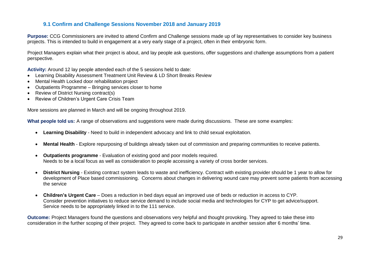#### **9.1 Confirm and Challenge Sessions November 2018 and January 2019**

**Purpose:** CCG Commissioners are invited to attend Confirm and Challenge sessions made up of lay representatives to consider key business projects. This is intended to build in engagement at a very early stage of a project, often in their embryonic form.

Project Managers explain what their project is about, and lay people ask questions, offer suggestions and challenge assumptions from a patient perspective.

**Activity:** Around 12 lay people attended each of the 5 sessions held to date:

- Learning Disability Assessment Treatment Unit Review & LD Short Breaks Review
- Mental Health Locked door rehabilitation project
- Outpatients Programme Bringing services closer to home
- Review of District Nursing contract(s)
- Review of Children's Urgent Care Crisis Team

More sessions are planned in March and will be ongoing throughout 2019.

**What people told us:** A range of observations and suggestions were made during discussions. These are some examples:

- **Learning Disability**  Need to build in independent advocacy and link to child sexual exploitation.
- **Mental Health** Explore repurposing of buildings already taken out of commission and preparing communities to receive patients.
- **Outpatients programme** Evaluation of existing good and poor models required. Needs to be a local focus as well as consideration to people accessing a variety of cross border services.
- **District Nursing**  Existing contract system leads to waste and inefficiency. Contract with existing provider should be 1 year to allow for development of Place based commissioning. Concerns about changes in delivering wound care may prevent some patients from accessing the service
- **Children's Urgent Care** Does a reduction in bed days equal an improved use of beds or reduction in access to CYP. Consider prevention initiatives to reduce service demand to include social media and technologies for CYP to get advice/support. Service needs to be appropriately linked in to the 111 service.

**Outcome:** Project Managers found the questions and observations very helpful and thought provoking. They agreed to take these into consideration in the further scoping of their project. They agreed to come back to participate in another session after 6 months' time.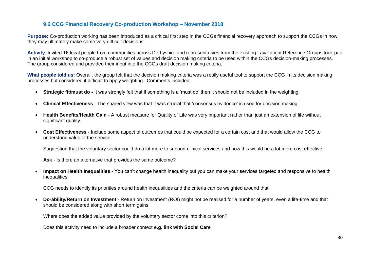#### **9.2 CCG Financial Recovery Co-production Workshop – November 2018**

**Purpose:** Co-production working has been introduced as a critical first step in the CCGs financial recovery approach to support the CCGs in how they may ultimately make some very difficult decisions.

**Activity**: Invited 16 local people from communities across Derbyshire and representatives from the existing Lay/Patient Reference Groups took part in an initial workshop to co-produce a robust set of values and decision making criteria to be used within the CCGs decision-making processes. The group considered and provided their input into the CCGs draft decision making criteria.

**What people told us:** Overall, the group felt that the decision making criteria was a really useful tool to support the CCG in its decision making processes but considered it difficult to apply weighting. Comments included:

- **Strategic fit/must do -** It was strongly felt that if something is a 'must do' then it should not be included in the weighting.
- **Clinical Effectiveness**  The shared view was that it was crucial that 'consensus evidence' is used for decision making.
- **Health Benefits/Health Gain**  A robust measure for Quality of Life was very important rather than just an extension of life without significant quality.
- **Cost Effectiveness**  Include some aspect of outcomes that could be expected for a certain cost and that would allow the CCG to understand value of the service.

Suggestion that the voluntary sector could do a lot more to support clinical services and how this would be a lot more cost effective.

**Ask** - Is there an alternative that provides the same outcome?

 **Impact on Health Inequalities** - You can't change health inequality but you can make your services targeted and responsive to health inequalities.

CCG needs to identify its priorities around health inequalities and the criteria can be weighted around that.

 **Do-ability/Return on Investment** - Return on Investment (ROI) might not be realised for a number of years, even a life-time and that should be considered along with short term gains.

Where does the added value provided by the voluntary sector come into this criterion?

Does this activity need to include a broader context **e.g. link with Social Care**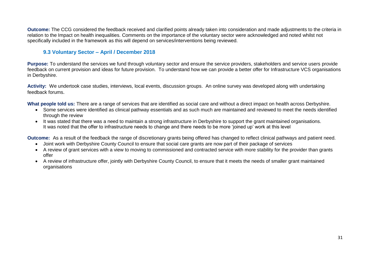**Outcome:** The CCG considered the feedback received and clarified points already taken into consideration and made adjustments to the criteria in relation to the Impact on health inequalities. Comments on the importance of the voluntary sector were acknowledged and noted whilst not specifically included in the framework as this will depend on services/interventions being reviewed.

#### **9.3 Voluntary Sector – April / December 2018**

**Purpose:** To understand the services we fund through voluntary sector and ensure the service providers, stakeholders and service users provide feedback on current provision and ideas for future provision. To understand how we can provide a better offer for Infrastructure VCS organisations in Derbyshire.

**Activity:** We undertook case studies, interviews, local events, discussion groups. An online survey was developed along with undertaking feedback forums.

**What people told us:** There are a range of services that are identified as social care and without a direct impact on health across Derbyshire.

- Some services were identified as clinical pathway essentials and as such much are maintained and reviewed to meet the needs identified through the review
- It was stated that there was a need to maintain a strong infrastructure in Derbyshire to support the grant maintained organisations. It was noted that the offer to infrastructure needs to change and there needs to be more 'joined up' work at this level

**Outcome:** As a result of the feedback the range of discretionary grants being offered has changed to reflect clinical pathways and patient need.

- Joint work with Derbyshire County Council to ensure that social care grants are now part of their package of services
- A review of grant services with a view to moving to commissioned and contracted service with more stability for the provider than grants offer
- A review of infrastructure offer, jointly with Derbyshire County Council, to ensure that it meets the needs of smaller grant maintained organisations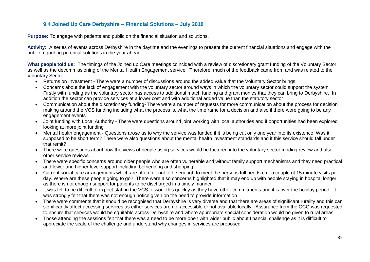#### **9.4 Joined Up Care Derbyshire – Financial Solutions – July 2018**

**Purpose:** To engage with patients and public on the financial situation and solutions.

**Activity:** A series of events across Derbyshire in the daytime and the evenings to present the current financial situations and engage with the public regarding potential solutions in the year ahead

**What people told us:** The timings of the Joined up Care meetings coincided with a review of discretionary grant funding of the Voluntary Sector as well as the decommissioning of the Mental Health Engagement service. Therefore, much of the feedback came from and was related to the Voluntary Sector.

- Returns on Investment There were a number of discussions around the added value that the Voluntary Sector brings
- Concerns about the lack of engagement with the voluntary sector around ways in which the voluntary sector could support the system Firstly with funding as the voluntary sector has access to additional match funding and grant monies that they can bring to Derbyshire. In addition the sector can provide services at a lower cost and with additional added value than the statutory sector
- Communication about the discretionary funding- There were a number of requests for more communication about the process for decision making around the VCS funding including what the process is, what the timeframe for a decision and also if there were going to be any engagement events
- Joint funding with Local Authority There were questions around joint working with local authorities and if opportunities had been explored looking at more joint funding
- Mental health engagement Questions arose as to why the service was funded if it is being cut only one year into its existence. Was it supposed to be short term? There were also questions about the mental health investment standards and if this service should fall under that remit?
- There were questions about how the views of people using services would be factored into the voluntary sector funding review and also other service reviews
- There were specific concerns around older people who are often vulnerable and without family support mechanisms and they need practical and lower and higher level support including befriending and shopping
- Current social care arrangements which are often felt not to be enough to meet the persons full needs e.g. a couple of 15 minute visits per day. Where are these people going to go? There were also concerns highlighted that it may end up with people staying in hospital longer as there is not enough support for patients to be discharged in a timely manner
- It was felt to be difficult to expect staff in the VCS to work this quickly as they have other commitments and it is over the holiday period. It was strongly felt that there was not enough notice given on the need to provide information
- There were comments that it should be recognised that Derbyshire is very diverse and that there are areas of significant rurality and this can significantly affect accessing services as either services are not accessible or not available locally. Assurance from the CCG was requested to ensure that services would be equitable across Derbyshire and where appropriate special consideration would be given to rural areas.
- Those attending the sessions felt that there was a need to be more open with wider public about financial challenge as it is difficult to appreciate the scale of the challenge and understand why changes in services are proposed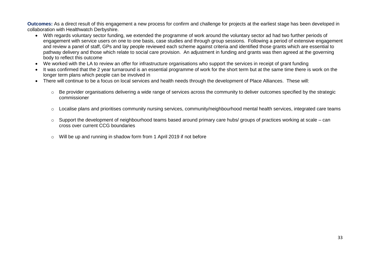**Outcomes:** As a direct result of this engagement a new process for confirm and challenge for projects at the earliest stage has been developed in collaboration with Healthwatch Derbyshire.

- With regards voluntary sector funding, we extended the programme of work around the voluntary sector ad had two further periods of engagement with service users on one to one basis, case studies and through group sessions. Following a period of extensive engagement and review a panel of staff, GPs and lay people reviewed each scheme against criteria and identified those grants which are essential to pathway delivery and those which relate to social care provision. An adjustment in funding and grants was then agreed at the governing body to reflect this outcome
- We worked with the LA to review an offer for infrastructure organisations who support the services in receipt of grant funding
- It was confirmed that the 2 year turnaround is an essential programme of work for the short term but at the same time there is work on the longer term plans which people can be involved in
- There will continue to be a focus on local services and health needs through the development of Place Alliances. These will:
	- o Be provider organisations delivering a wide range of services across the community to deliver outcomes specified by the strategic commissioner
	- o Localise plans and prioritises community nursing services, community/neighbourhood mental health services, integrated care teams
	- o Support the development of neighbourhood teams based around primary care hubs/ groups of practices working at scale can cross over current CCG boundaries
	- o Will be up and running in shadow form from 1 April 2019 if not before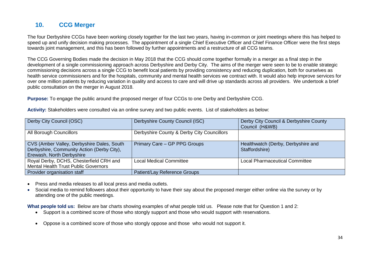### **10. CCG Merger**

The four Derbyshire CCGs have been working closely together for the last two years, having in-common or joint meetings where this has helped to speed up and unify decision making processes. The appointment of a single Chief Executive Officer and Chief Finance Officer were the first steps towards joint management, and this has been followed by further appointments and a restructure of all CCG teams.

The CCG Governing Bodies made the decision in May 2018 that the CCG should come together formally in a merger as a final step in the development of a single commissioning approach across Derbyshire and Derby City. The aims of the merger were seen to be to enable strategic commissioning decisions across a single CCG to benefit local patients by providing consistency and reducing duplication, both for ourselves as health service commissioners and for the hospitals, community and mental health services we contract with. It would also help improve services for over one million patients by reducing variation in quality and access to care and will drive up standards across all providers. We undertook a brief public consultation on the merger in August 2018.

**Purpose:** To engage the public around the proposed merger of four CCGs to one Derby and Derbyshire CCG.

**Activity:** Stakeholders were consulted via an online survey and two public events. List of stakeholders as below:

| Derby City Council (OSC)                                                                                              | Derbyshire County Council (ISC)            | Derby City Council & Derbyshire County<br>Council (H&WB) |
|-----------------------------------------------------------------------------------------------------------------------|--------------------------------------------|----------------------------------------------------------|
| All Borough Councillors                                                                                               | Derbyshire County & Derby City Councillors |                                                          |
| CVS (Amber Valley, Derbyshire Dales, South<br>Derbyshire, Community Action (Derby City),<br>Erewash, North Derbyshire | Primary Care - GP PPG Groups               | Healthwatch (Derby, Derbyshire and<br>Staffordshire)     |
| Royal Derby, DCHS, Chesterfield CRH and<br><b>Mental Health Trust Public Governors</b>                                | <b>Local Medical Committee</b>             | <b>Local Pharmaceutical Committee</b>                    |
| Provider organisation staff                                                                                           | Patient/Lay Reference Groups               |                                                          |

- Press and media releases to all local press and media outlets.
- Social media to remind followers about their opportunity to have their say about the proposed merger either online via the survey or by attending one of the public meetings.

**What people told us:** Below are bar charts showing examples of what people told us. Please note that for Question 1 and 2:

- Support is a combined score of those who stongly support and those who would support with reservations.
- Oppose is a combined score of those who stongly oppose and those who would not support it.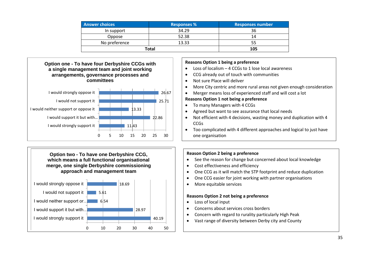| <b>Answer choices</b> | <b>Responses %</b> | <b>Responses number</b> |  |
|-----------------------|--------------------|-------------------------|--|
| In support            | 34.29              | 36                      |  |
| Oppose                | 52.38              | 14                      |  |
| No preference         | 13.33              | 55                      |  |
| Total                 | 105                |                         |  |





#### **Reasons Option 1 being a preference**

- Loss of localism 4 CCGs to 1 lose local awareness
- CCG already out of touch with communities
- Not sure Place will deliver
- More City centric and more rural areas not given enough consideration
- Merger means loss of experienced staff and will cost a lot

#### **Reasons Option 1 not being a preference**

- To many Managers with 4 CCGs
- Agreed but want to see assurance that local needs
- Not efficient with 4 decisions, wasting money and duplication with 4 **CCG<sub>S</sub>**
- Too complicated with 4 different approaches and logical to just have one organisation

#### **Reason Option 2 being a preference**

- See the reason for change but concerned about local knowledge
- Cost effectiveness and efficiency
- One CCG as it will match the STP footprint and reduce duplication
- One CCG easier for joint working with partner organisations
- More equitable services

#### **Reasons Option 2 not being a preference**

- Loss of local input
- Concerns about services cross borders
- Concern with regard to rurality particularly High Peak
- Vast range of diversity between Derby city and County 40.19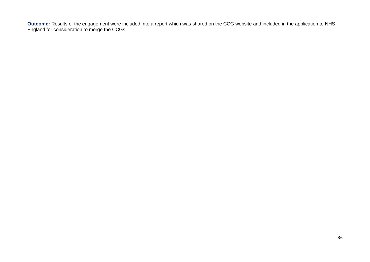**Outcome:** Results of the engagement were included into a report which was shared on the CCG website and included in the application to NHS England for consideration to merge the CCGs.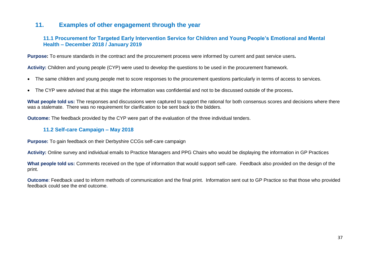#### **11. Examples of other engagement through the year**

#### **11.1 Procurement for Targeted Early Intervention Service for Children and Young People's Emotional and Mental Health – December 2018 / January 2019**

**Purpose:** To ensure standards in the contract and the procurement process were informed by current and past service users**.**

**Activity:** Children and young people (CYP) were used to develop the questions to be used in the procurement framework.

- The same children and young people met to score responses to the procurement questions particularly in terms of access to services.
- The CYP were advised that at this stage the information was confidential and not to be discussed outside of the process**.**

**What people told us:** The responses and discussions were captured to support the rational for both consensus scores and decisions where there was a stalemate. There was no requirement for clarification to be sent back to the bidders.

**Outcome:** The feedback provided by the CYP were part of the evaluation of the three individual tenders.

#### **11.2 Self-care Campaign – May 2018**

**Purpose:** To gain feedback on their Derbyshire CCGs self-care campaign

**Activity:** Online survey and individual emails to Practice Managers and PPG Chairs who would be displaying the information in GP Practices

**What people told us:** Comments received on the type of information that would support self-care. Feedback also provided on the design of the print.

**Outcome**: Feedback used to inform methods of communication and the final print. Information sent out to GP Practice so that those who provided feedback could see the end outcome.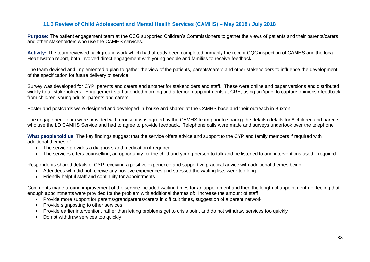#### **11.3 Review of Child Adolescent and Mental Health Services (CAMHS) – May 2018 / July 2018**

**Purpose:** The patient engagement team at the CCG supported Children's Commissioners to gather the views of patients and their parents/carers and other stakeholders who use the CAMHS services.

**Activity:** The team reviewed background work which had already been completed primarily the recent CQC inspection of CAMHS and the local Healthwatch report, both involved direct engagement with young people and families to receive feedback.

The team devised and implemented a plan to gather the view of the patients, parents/carers and other stakeholders to influence the development of the specification for future delivery of service.

Survey was developed for CYP, parents and carers and another for stakeholders and staff. These were online and paper versions and distributed widely to all stakeholders. Engagement staff attended morning and afternoon appointments at CRH, using an 'ipad' to capture opinions / feedback from children, young adults, parents and carers.

Poster and postcards were designed and developed in-house and shared at the CAMHS base and their outreach in Buxton.

The engagement team were provided with (consent was agreed by the CAMHS team prior to sharing the details) details for 8 children and parents who use the LD CAMHS Service and had to agree to provide feedback. Telephone calls were made and surveys undertook over the telephone.

What people told us: The key findings suggest that the service offers advice and support to the CYP and family members if required with additional themes of:

- The service provides a diagnosis and medication if required
- The services offers counselling, an opportunity for the child and young person to talk and be listened to and interventions used if required.

Respondents shared details of CYP receiving a positive experience and supportive practical advice with additional themes being:

- Attendees who did not receive any positive experiences and stressed the waiting lists were too long
- Friendly helpful staff and continuity for appointments

Comments made around improvement of the service included waiting times for an appointment and then the length of appointment not feeling that enough appointments were provided for the problem with additional themes of: Increase the amount of staff

- Provide more support for parents/grandparents/carers in difficult times, suggestion of a parent network
- Provide signposting to other services
- Provide earlier intervention, rather than letting problems get to crisis point and do not withdraw services too quickly
- Do not withdraw services too quickly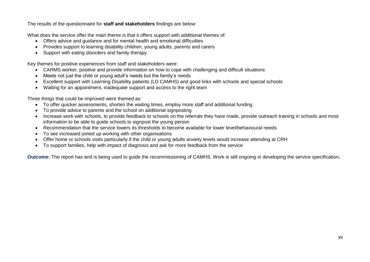The results of the questionnaire for **staff and stakeholders** findings are below:

What does the service offer the main theme is that it offers support with additional themes of:

- Offers advice and guidance and for mental health and emotional difficulties
- Provides support to learning disability children, young adults, parents and carers
- Support with eating disorders and family therapy

Key themes for positive experiences from staff and stakeholders were:

- CAHMS worker, positive and provide information on how to cope with challenging and difficult situations
- Meets not just the child or young adult's needs but the family's needs
- Excellent support with Learning Disability patients (LD CAMHS) and good links with schools and special schools
- Waiting for an appointment, inadequate support and access to the right team

Three things that could be improved were themed as:

- To offer quicker assessments, shorten the waiting times, employ more staff and additional funding
- To provide advice to parents and the school on additional signposting
- Increase work with schools, to provide feedback to schools on the referrals they have made, provide outreach training in schools and most information to be able to guide schools to signpost the young person
- Recommendation that the service lowers its thresholds to become available for lower level/behavioural needs
- To see increased joined up working with other organisations
- Offer home or schools visits particularly if the child or young adults anxiety levels would increase attending at CRH
- To support families, help with impact of diagnosis and ask for more feedback from the service

**Outcome:** The report has and is being used to guide the recommissioning of CAMHS. Work is still ongoing in developing the service specification**.**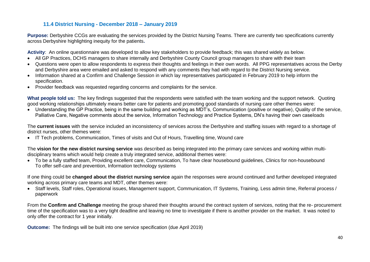#### **11.4 District Nursing - December 2018 – January 2019**

**Purpose:** Derbyshire CCGs are evaluating the services provided by the District Nursing Teams. There are currently two specifications currently across Derbyshire highlighting inequity for the patients**.**

**Activity**: An online questionnaire was developed to allow key stakeholders to provide feedback; this was shared widely as below.

- All GP Practices, DCHS managers to share internally and Derbyshire County Council group managers to share with their team
- Questions were open to allow respondents to express their thoughts and feelings in their own words. All PPG representatives across the Derby and Derbyshire area were emailed and asked to respond with any comments they had with regard to the District Nursing service.
- Information shared at a Confirm and Challenge Session in which lay representatives participated in February 2019 to help inform the specification.
- Provider feedback was requested regarding concerns and complaints for the service.

**What people told us:** The key findings suggested that the respondents were satisfied with the team working and the support network. Quoting good working relationships ultimately means better care for patients and promoting good standards of nursing care other themes were:

 Understanding the GP Practice, being in the same building and working as MDT's, Communication (positive or negative), Quality of the service, Palliative Care, Negative comments about the service, Information Technology and Practice Systems, DN's having their own caseloads

The **current issues** with the service included an inconsistency of services across the Derbyshire and staffing issues with regard to a shortage of district nurses, other themes were:

IT Tech problems, Communication, Times of visits and Out of Hours, Travelling time, Wound care

The **vision for the new district nursing service** was described as being integrated into the primary care services and working within multidisciplinary teams which would help create a truly integrated service, additional themes were:

 To be a fully staffed team, Providing excellent care, Communication, To have clear housebound guidelines, Clinics for non-housebound To offer self-care and prevention, Information technology systems

If one thing could be **changed about the district nursing service** again the responses were around continued and further developed integrated working across primary care teams and MDT, other themes were:

 Staff levels, Staff roles, Operational issues, Management support, Communication, IT Systems, Training, Less admin time, Referral process / paperwork

From the **Confirm and Challenge** meeting the group shared their thoughts around the contract system of services, noting that the re- procurement time of the specification was to a very tight deadline and leaving no time to investigate if there is another provider on the market. It was noted to only offer the contract for 1 year initially.

**Outcome:** The findings will be built into one service specification (due April 2019)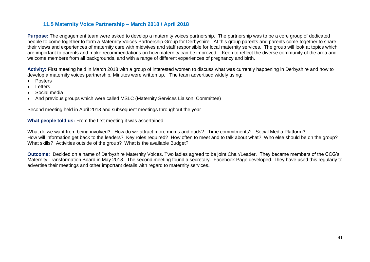#### **11.5 Maternity Voice Partnership – March 2018 / April 2018**

**Purpose:** The engagement team were asked to develop a maternity voices partnership. The partnership was to be a core group of dedicated people to come together to form a Maternity Voices Partnership Group for Derbyshire. At this group parents and parents come together to share their views and experiences of maternity care with midwives and staff responsible for local maternity services. The group will look at topics which are important to parents and make recommendations on how maternity can be improved. Keen to reflect the diverse community of the area and welcome members from all backgrounds, and with a range of different experiences of pregnancy and birth.

**Activity:** First meeting held in March 2018 with a group of interested women to discuss what was currently happening in Derbyshire and how to develop a maternity voices partnership. Minutes were written up. The team advertised widely using:

- Posters
- Letters
- Social media
- And previous groups which were called MSLC (Maternity Services Liaison Committee)

Second meeting held in April 2018 and subsequent meetings throughout the year

**What people told us:** From the first meeting it was ascertained:

What do we want from being involved? How do we attract more mums and dads? Time commitments? Social Media Platform? How will information get back to the leaders? Key roles required? How often to meet and to talk about what? Who else should be on the group? What skills? Activities outside of the group? What is the available Budget?

**Outcome:** Decided on a name of Derbyshire Maternity Voices. Two ladies agreed to be joint Chair/Leader. They became members of the CCG's Maternity Transformation Board in May 2018. The second meeting found a secretary. Facebook Page developed. They have used this regularly to advertise their meetings and other important details with regard to maternity services**.**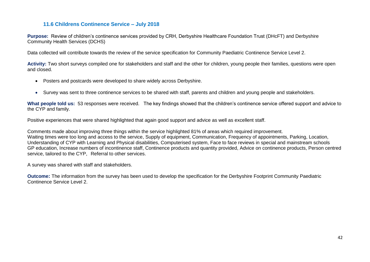#### **11.6 Childrens Continence Service – July 2018**

**Purpose:** Review of children's continence services provided by CRH, Derbyshire Healthcare Foundation Trust (DHcFT) and Derbyshire Community Health Services (DCHS)

Data collected will contribute towards the review of the service specification for Community Paediatric Continence Service Level 2.

**Activity:** Two short surveys compiled one for stakeholders and staff and the other for children, young people their families, questions were open and closed.

- Posters and postcards were developed to share widely across Derbyshire.
- Survey was sent to three continence services to be shared with staff, parents and children and young people and stakeholders.

**What people told us:** 53 responses were received. The key findings showed that the children's continence service offered support and advice to the CYP and family.

Positive experiences that were shared highlighted that again good support and advice as well as excellent staff.

Comments made about improving three things within the service highlighted 81% of areas which required improvement. Waiting times were too long and access to the service, Supply of equipment, Communication, Frequency of appointments, Parking, Location, Understanding of CYP with Learning and Physical disabilities, Computerised system, Face to face reviews in special and mainstream schools GP education, Increase numbers of incontinence staff, Continence products and quantity provided, Advice on continence products, Person centred service, tailored to the CYP, Referral to other services.

A survey was shared with staff and stakeholders.

**Outcome:** The information from the survey has been used to develop the specification for the Derbyshire Footprint Community Paediatric Continence Service Level 2.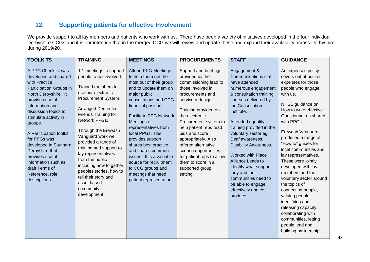#### **12. Supporting patients for effective Involvement**

We provide support to all lay members and patients who work with us. There have been a variety of initiatives developed in the four individual Derbyshire CCGs and it is our intention that in the merged CCG we will review and update these and expand their availability across Derbyshire during 2019/20.

| <b>TOOLKITS</b>                                                                                                                                                                                                                                                                                                                                                                                          | <b>TRAINING</b>                                                                                                                                                                                                                                                                                                                                                                                                                                      | <b>MEETINGS</b>                                                                                                                                                                                                                                                                                                                                                                                                                                                  | <b>PROCUREMENTS</b>                                                                                                                                                                                                                                                                                                                                                                                     | <b>STAFF</b>                                                                                                                                                                                                                                                                                                                                                                                                                                                                   | <b>GUIDANCE</b>                                                                                                                                                                                                                                                                                                                                                                                                                                                                                                                                                                                   |
|----------------------------------------------------------------------------------------------------------------------------------------------------------------------------------------------------------------------------------------------------------------------------------------------------------------------------------------------------------------------------------------------------------|------------------------------------------------------------------------------------------------------------------------------------------------------------------------------------------------------------------------------------------------------------------------------------------------------------------------------------------------------------------------------------------------------------------------------------------------------|------------------------------------------------------------------------------------------------------------------------------------------------------------------------------------------------------------------------------------------------------------------------------------------------------------------------------------------------------------------------------------------------------------------------------------------------------------------|---------------------------------------------------------------------------------------------------------------------------------------------------------------------------------------------------------------------------------------------------------------------------------------------------------------------------------------------------------------------------------------------------------|--------------------------------------------------------------------------------------------------------------------------------------------------------------------------------------------------------------------------------------------------------------------------------------------------------------------------------------------------------------------------------------------------------------------------------------------------------------------------------|---------------------------------------------------------------------------------------------------------------------------------------------------------------------------------------------------------------------------------------------------------------------------------------------------------------------------------------------------------------------------------------------------------------------------------------------------------------------------------------------------------------------------------------------------------------------------------------------------|
| A PPG Checklist was<br>developed and shared<br>with Practice<br>Participation Groups in<br>North Derbyshire. It<br>provides useful<br>information and<br>discussion topics to<br>stimulate activity in<br>groups.<br>A Participation toolkit<br>for PPGs was<br>developed in Southern<br>Derbyshire that<br>provides useful<br>information such as<br>draft Terms of<br>Reference, role<br>descriptions. | 1:1 meetings to support<br>people to get involved.<br>Trained members to<br>use our electronic<br>Procurement System.<br>Arranged Dementia<br>Friends Training for<br>Network PPGs.<br>Through the Erewash<br>Vanguard work we<br>provided a range of<br>training and support to<br>lay representatives<br>from the public<br>including how to gather<br>peoples stories, how to<br>tell their story and<br>asset based<br>community<br>development. | <b>Attend PPG Meetings</b><br>to help them get the<br>most out of their group<br>and to update them on<br>major public<br>consultations and CCG<br>financial position.<br><b>Facilitate PPG Network</b><br>Meetings of<br>representatives from<br>local PPGs. This<br>provides support,<br>shares best practice<br>and shares common<br>issues. It is a valuable<br>source for recruitment<br>to CCG groups and<br>meetings that need<br>patient representation. | Support and briefings<br>provided by the<br>commissioning lead to<br>those involved in<br>procurements and<br>service redesign.<br>Training provided on<br>the electronic<br>Procurement system to<br>help patient reps read<br>bids and score<br>appropriately. Also<br>offered alternative<br>scoring opportunities<br>for patient reps to allow<br>them to score in a<br>supported group<br>setting. | Engagement &<br><b>Communications staff</b><br>have attended<br>numerous engagement<br>& consultation training<br>courses delivered by<br>the Consultation<br>Institute.<br>Attended equality<br>training provided in the<br>voluntary sector eg<br>Deaf awareness,<br><b>Disability Awareness.</b><br><b>Worked with Place</b><br>Alliance Leads to<br>identify what support<br>they and their<br>communities need to<br>be able to engage<br>effectively and co-<br>produce. | An expenses policy<br>covers out of pocket<br>expenses for those<br>people who engage<br>with us.<br>NHSE guidance on<br>How to write effective<br>Questionnaires shared<br>with PPGs<br>Erewash Vanguard<br>produced a range of<br>"How to" guides for<br>local communities and<br>lay representatives.<br>These were jointly<br>developed with lay<br>members and the<br>voluntary sector around<br>the topics of<br>connecting people,<br>valuing people,<br>identifying and<br>releasing capacity,<br>collaborating with<br>communities, letting<br>people lead and<br>building partnerships. |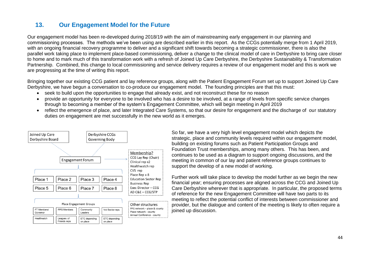#### **13. Our Engagement Model for the Future**

Our engagement model has been re-developed during 2018/19 with the aim of mainstreaming early engagement in our planning and commissioning processes. The methods we've been using are described earlier in this report. As the CCGs potentially merge from 1 April 2019, with an ongoing financial recovery programme to deliver and a significant shift towards becoming a strategic commissioner, there is also the parallel work taking place to implement place-based commissioning, deliver a change to the clinical model of care in Derbyshire to bring care closer to home and to mark much of this transformation work with a refresh of Joined Up Care Derbyshire, the Derbyshire Sustainability & Transformation Partnership. Combined, this change to local commissioning and service delivery requires a review of our engagement model and this is work we are progressing at the time of writing this report.

Bringing together our existing CCG patient and lay reference groups, along with the Patient Engagement Forum set up to support Joined Up Care Derbyshire, we have begun a conversation to co-produce our engagement model. The founding principles are that this must:

seek to build upon the opportunities to engage that already exist, and not reconstruct these for no reason

Other structures PPG network - place & county

Place network - county

Annual Conference - county

- provide an opportunity for everyone to be involved who has a desire to be involved, at a range of levels from specific service changes through to becoming a member of the system's Engagement Committee, which will begin meeting in April 2019
- reflect the emergence of place, and later Integrated Care Systems, so that our desire for engagement and the discharge of our statutory duties on engagement are met successfully in the new world as it emerges.



#### Place Engagement Groups FT Members/ **PPG Members** Community Vol Sector reps Governo Leaders Healthwatch Leagues of ETC depending ETC depending Friends reps on place on place

So far, we have a very high level engagement model which depicts the strategic, place and community levels required within our engagement model, building on existing forums such as Patient Participation Groups and Foundation Trust memberships, among many others. This has been, and continues to be used as a diagram to support ongoing discussions, and the meeting in common of our lay and patient reference groups continues to support the develop of a new model of working.

Further work will take place to develop the model further as we begin the new financial year; ensuring processes are aligned across the CCG and Joined Up Care Derbyshire wherever that is appropriate. In particular, the proposed terms of reference for the new Engagement Committee will have two parts to its meeting to reflect the potential conflict of interests between commissioner and provider, but the dialogue and content of the meeting is likely to often require a joined up discussion.